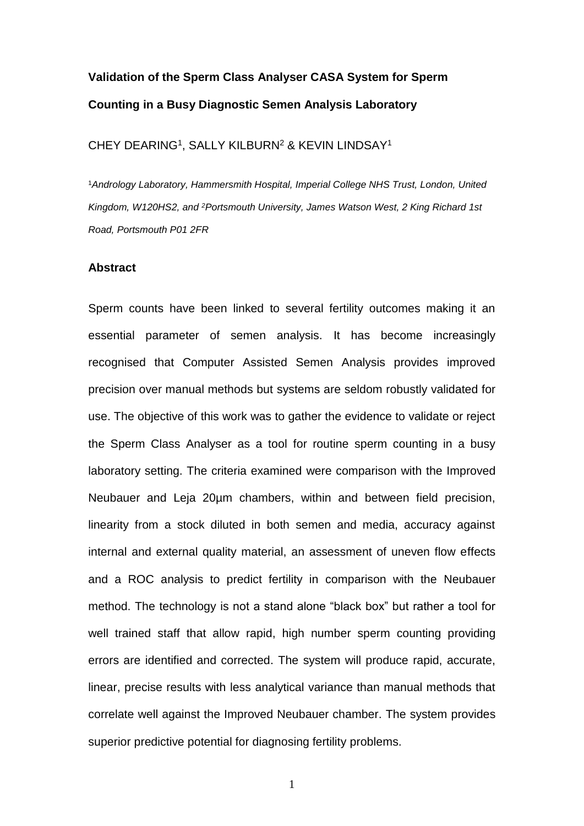# **Validation of the Sperm Class Analyser CASA System for Sperm Counting in a Busy Diagnostic Semen Analysis Laboratory**

CHEY DEARING<sup>1</sup>, SALLY KILBURN<sup>2</sup> & KEVIN LINDSAY<sup>1</sup>

<sup>1</sup>*Andrology Laboratory, Hammersmith Hospital, Imperial College NHS Trust, London, United Kingdom, W120HS2, and <sup>2</sup>Portsmouth University, James Watson West, 2 King Richard 1st Road, Portsmouth P01 2FR*

## **Abstract**

Sperm counts have been linked to several fertility outcomes making it an essential parameter of semen analysis. It has become increasingly recognised that Computer Assisted Semen Analysis provides improved precision over manual methods but systems are seldom robustly validated for use. The objective of this work was to gather the evidence to validate or reject the Sperm Class Analyser as a tool for routine sperm counting in a busy laboratory setting. The criteria examined were comparison with the Improved Neubauer and Leja 20µm chambers, within and between field precision, linearity from a stock diluted in both semen and media, accuracy against internal and external quality material, an assessment of uneven flow effects and a ROC analysis to predict fertility in comparison with the Neubauer method. The technology is not a stand alone "black box" but rather a tool for well trained staff that allow rapid, high number sperm counting providing errors are identified and corrected. The system will produce rapid, accurate, linear, precise results with less analytical variance than manual methods that correlate well against the Improved Neubauer chamber. The system provides superior predictive potential for diagnosing fertility problems.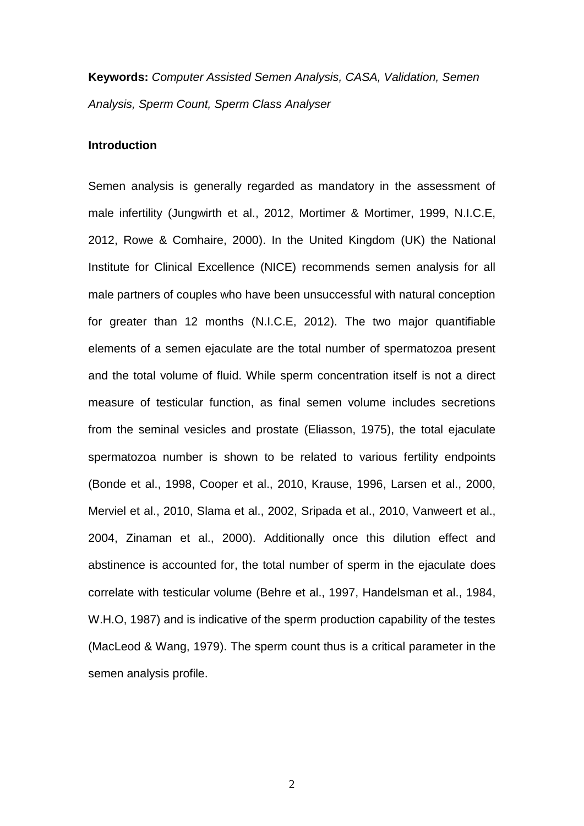**Keywords:** *Computer Assisted Semen Analysis, CASA, Validation, Semen Analysis, Sperm Count, Sperm Class Analyser*

## **Introduction**

Semen analysis is generally regarded as mandatory in the assessment of male infertility [\(Jungwirth et al., 2012,](#page-28-0) [Mortimer & Mortimer, 1999,](#page-30-0) [N.I.C.E,](#page-30-1)  [2012,](#page-30-1) [Rowe & Comhaire, 2000\)](#page-30-2). In the United Kingdom (UK) the National Institute for Clinical Excellence (NICE) recommends semen analysis for all male partners of couples who have been unsuccessful with natural conception for greater than 12 months [\(N.I.C.E, 2012\)](#page-30-1). The two major quantifiable elements of a semen ejaculate are the total number of spermatozoa present and the total volume of fluid. While sperm concentration itself is not a direct measure of testicular function, as final semen volume includes secretions from the seminal vesicles and prostate [\(Eliasson, 1975\)](#page-28-1), the total ejaculate spermatozoa number is shown to be related to various fertility endpoints [\(Bonde et al., 1998,](#page-27-0) [Cooper et al., 2010,](#page-27-1) [Krause, 1996,](#page-29-0) [Larsen et al., 2000,](#page-29-1) [Merviel et al., 2010,](#page-30-3) [Slama et al., 2002,](#page-30-4) [Sripada et al., 2010,](#page-31-0) [Vanweert et al.,](#page-31-1)  [2004,](#page-31-1) [Zinaman et al., 2000\)](#page-32-0). Additionally once this dilution effect and abstinence is accounted for, the total number of sperm in the ejaculate does correlate with testicular volume [\(Behre et al., 1997,](#page-27-2) [Handelsman et al., 1984,](#page-28-2) [W.H.O, 1987\)](#page-31-2) and is indicative of the sperm production capability of the testes [\(MacLeod & Wang, 1979\)](#page-29-2). The sperm count thus is a critical parameter in the semen analysis profile.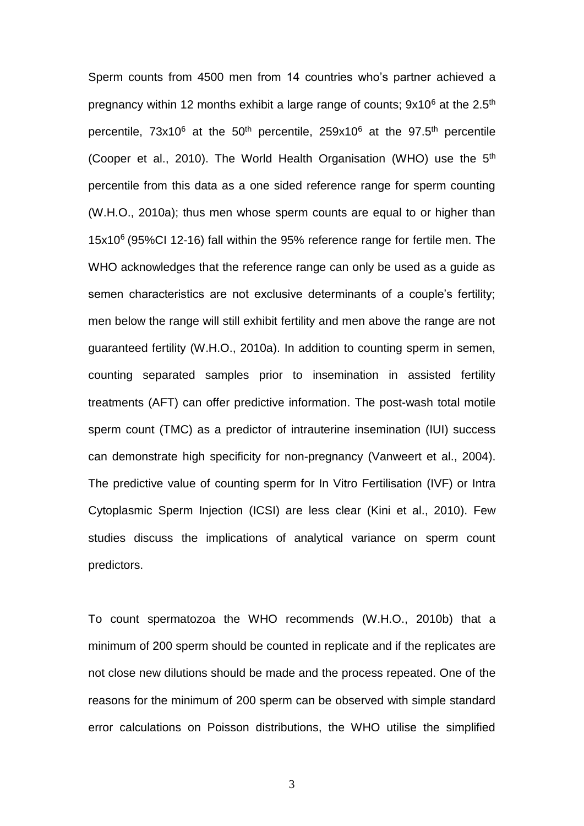Sperm counts from 4500 men from 14 countries who's partner achieved a pregnancy within 12 months exhibit a large range of counts; 9x10<sup>6</sup> at the 2.5<sup>th</sup> percentile,  $73x10^6$  at the  $50^{th}$  percentile,  $259x10^6$  at the  $97.5^{th}$  percentile [\(Cooper et al., 2010\)](#page-27-1). The World Health Organisation (WHO) use the 5<sup>th</sup> percentile from this data as a one sided reference range for sperm counting [\(W.H.O., 2010a\)](#page-31-3); thus men whose sperm counts are equal to or higher than 15x10<sup>6</sup> (95%CI 12-16) fall within the 95% reference range for fertile men. The WHO acknowledges that the reference range can only be used as a guide as semen characteristics are not exclusive determinants of a couple's fertility; men below the range will still exhibit fertility and men above the range are not guaranteed fertility [\(W.H.O., 2010a\)](#page-31-3). In addition to counting sperm in semen, counting separated samples prior to insemination in assisted fertility treatments (AFT) can offer predictive information. The post-wash total motile sperm count (TMC) as a predictor of intrauterine insemination (IUI) success can demonstrate high specificity for non-pregnancy [\(Vanweert et al., 2004\)](#page-31-1). The predictive value of counting sperm for In Vitro Fertilisation (IVF) or Intra Cytoplasmic Sperm Injection (ICSI) are less clear [\(Kini et al., 2010\)](#page-29-3). Few studies discuss the implications of analytical variance on sperm count predictors.

To count spermatozoa the WHO recommends [\(W.H.O., 2010b\)](#page-31-4) that a minimum of 200 sperm should be counted in replicate and if the replicates are not close new dilutions should be made and the process repeated. One of the reasons for the minimum of 200 sperm can be observed with simple standard error calculations on Poisson distributions, the WHO utilise the simplified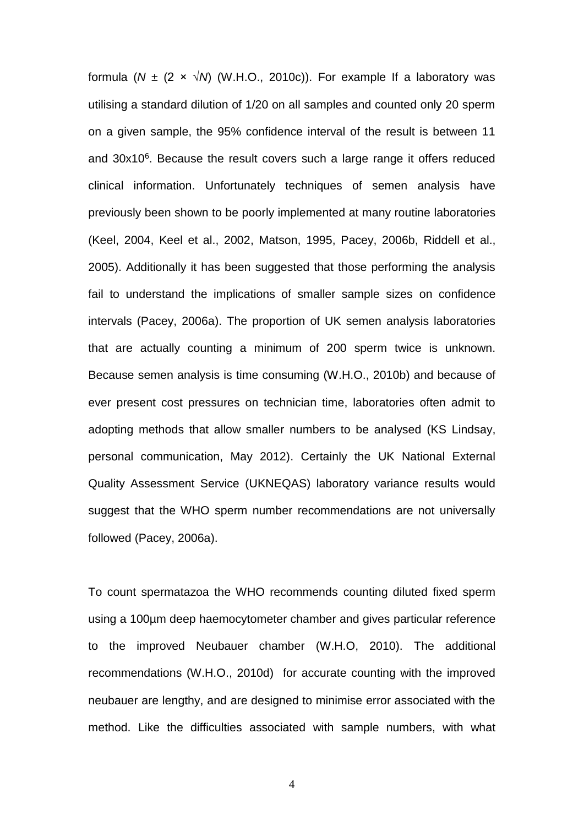formula ( $N \pm (2 \times \sqrt{N})$  [\(W.H.O., 2010c\)](#page-32-1)). For example If a laboratory was utilising a standard dilution of 1/20 on all samples and counted only 20 sperm on a given sample, the 95% confidence interval of the result is between 11 and 30x10<sup>6</sup>. Because the result covers such a large range it offers reduced clinical information. Unfortunately techniques of semen analysis have previously been shown to be poorly implemented at many routine laboratories [\(Keel, 2004,](#page-29-4) [Keel et al., 2002,](#page-29-5) [Matson, 1995,](#page-29-6) [Pacey, 2006b,](#page-30-5) [Riddell et al.,](#page-30-6)  [2005\)](#page-30-6). Additionally it has been suggested that those performing the analysis fail to understand the implications of smaller sample sizes on confidence intervals [\(Pacey, 2006a\)](#page-30-7). The proportion of UK semen analysis laboratories that are actually counting a minimum of 200 sperm twice is unknown. Because semen analysis is time consuming [\(W.H.O., 2010b\)](#page-31-4) and because of ever present cost pressures on technician time, laboratories often admit to adopting methods that allow smaller numbers to be analysed (KS Lindsay, personal communication, May 2012). Certainly the UK National External Quality Assessment Service (UKNEQAS) laboratory variance results would suggest that the WHO sperm number recommendations are not universally followed [\(Pacey, 2006a\)](#page-30-7).

To count spermatazoa the WHO recommends counting diluted fixed sperm using a 100µm deep haemocytometer chamber and gives particular reference to the improved Neubauer chamber [\(W.H.O, 2010\)](#page-31-5). The additional recommendations [\(W.H.O., 2010d\)](#page-32-2) for accurate counting with the improved neubauer are lengthy, and are designed to minimise error associated with the method. Like the difficulties associated with sample numbers, with what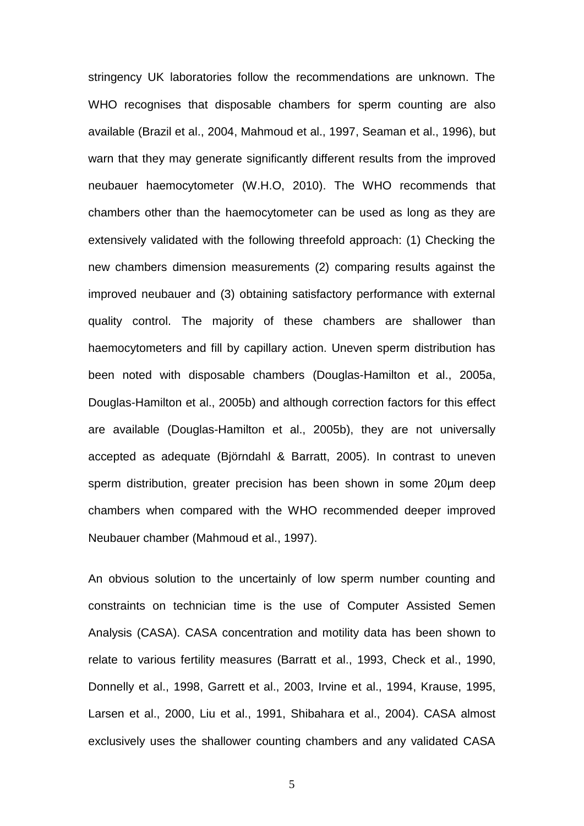stringency UK laboratories follow the recommendations are unknown. The WHO recognises that disposable chambers for sperm counting are also available [\(Brazil et al., 2004,](#page-27-3) [Mahmoud et al., 1997,](#page-29-7) [Seaman et al., 1996\)](#page-30-8), but warn that they may generate significantly different results from the improved neubauer haemocytometer [\(W.H.O, 2010\)](#page-31-5). The WHO recommends that chambers other than the haemocytometer can be used as long as they are extensively validated with the following threefold approach: (1) Checking the new chambers dimension measurements (2) comparing results against the improved neubauer and (3) obtaining satisfactory performance with external quality control. The majority of these chambers are shallower than haemocytometers and fill by capillary action. Uneven sperm distribution has been noted with disposable chambers [\(Douglas-Hamilton et al., 2005a,](#page-28-3) [Douglas-Hamilton et al., 2005b\)](#page-28-4) and although correction factors for this effect are available [\(Douglas-Hamilton et al., 2005b\)](#page-28-4), they are not universally accepted as adequate [\(Björndahl & Barratt, 2005\)](#page-27-4). In contrast to uneven sperm distribution, greater precision has been shown in some 20µm deep chambers when compared with the WHO recommended deeper improved Neubauer chamber [\(Mahmoud et al., 1997\)](#page-29-7).

An obvious solution to the uncertainly of low sperm number counting and constraints on technician time is the use of Computer Assisted Semen Analysis (CASA). CASA concentration and motility data has been shown to relate to various fertility measures [\(Barratt et al., 1993,](#page-27-5) [Check et al., 1990,](#page-27-6) [Donnelly et al., 1998,](#page-28-5) [Garrett et al., 2003,](#page-28-6) [Irvine et al., 1994,](#page-28-7) [Krause, 1995,](#page-29-8) [Larsen et al., 2000,](#page-29-1) [Liu et al., 1991,](#page-29-9) [Shibahara et al., 2004\)](#page-30-9). CASA almost exclusively uses the shallower counting chambers and any validated CASA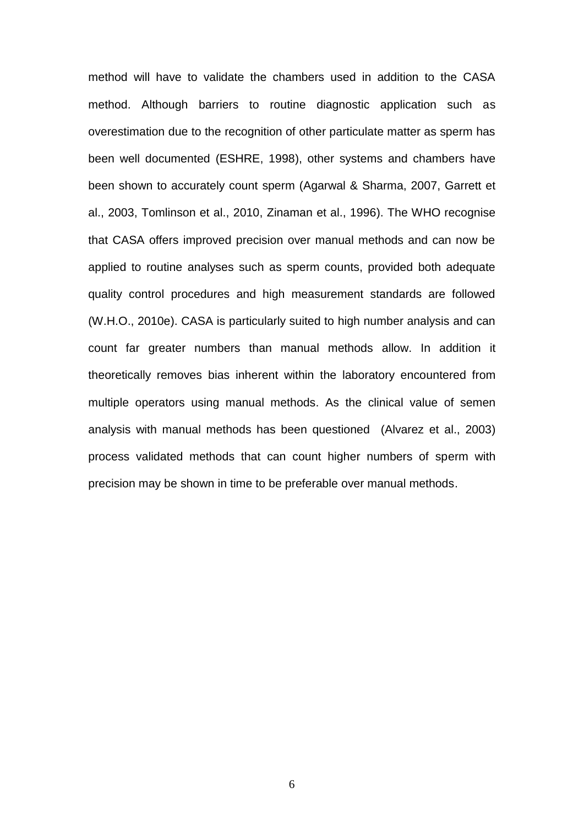method will have to validate the chambers used in addition to the CASA method. Although barriers to routine diagnostic application such as overestimation due to the recognition of other particulate matter as sperm has been well documented [\(ESHRE, 1998\)](#page-28-8), other systems and chambers have been shown to accurately count sperm [\(Agarwal & Sharma, 2007,](#page-27-7) [Garrett et](#page-28-6)  [al., 2003,](#page-28-6) [Tomlinson et al., 2010,](#page-31-6) [Zinaman et al., 1996\)](#page-32-3). The WHO recognise that CASA offers improved precision over manual methods and can now be applied to routine analyses such as sperm counts, provided both adequate quality control procedures and high measurement standards are followed [\(W.H.O., 2010e\)](#page-32-4). CASA is particularly suited to high number analysis and can count far greater numbers than manual methods allow. In addition it theoretically removes bias inherent within the laboratory encountered from multiple operators using manual methods. As the clinical value of semen analysis with manual methods has been questioned [\(Alvarez et al., 2003\)](#page-27-8) process validated methods that can count higher numbers of sperm with precision may be shown in time to be preferable over manual methods.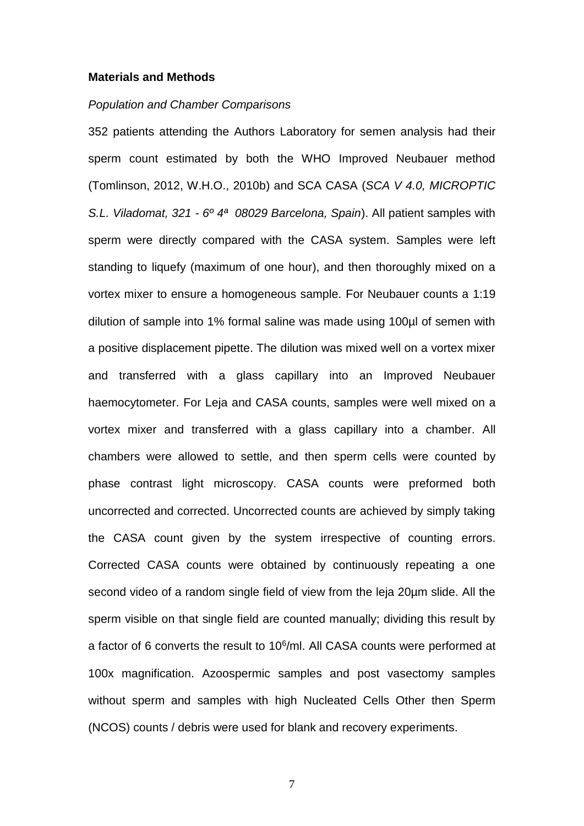#### **Materials and Methods**

## *Population and Chamber Comparisons*

352 patients attending the Authors Laboratory for semen analysis had their sperm count estimated by both the WHO Improved Neubauer method [\(Tomlinson, 2012,](#page-31-7) [W.H.O., 2010b\)](#page-31-4) and SCA CASA (*SCA V 4.0, MICROPTIC S.L. Viladomat, 321 - 6º 4ª 08029 Barcelona, Spain*). All patient samples with sperm were directly compared with the CASA system. Samples were left standing to liquefy (maximum of one hour), and then thoroughly mixed on a vortex mixer to ensure a homogeneous sample. For Neubauer counts a 1:19 dilution of sample into 1% formal saline was made using 100µl of semen with a positive displacement pipette. The dilution was mixed well on a vortex mixer and transferred with a glass capillary into an Improved Neubauer haemocytometer. For Leja and CASA counts, samples were well mixed on a vortex mixer and transferred with a glass capillary into a chamber. All chambers were allowed to settle, and then sperm cells were counted by phase contrast light microscopy. CASA counts were preformed both uncorrected and corrected. Uncorrected counts are achieved by simply taking the CASA count given by the system irrespective of counting errors. Corrected CASA counts were obtained by continuously repeating a one second video of a random single field of view from the leja 20µm slide. All the sperm visible on that single field are counted manually; dividing this result by a factor of 6 converts the result to 10<sup>6</sup>/ml. All CASA counts were performed at 100x magnification. Azoospermic samples and post vasectomy samples without sperm and samples with high Nucleated Cells Other then Sperm (NCOS) counts / debris were used for blank and recovery experiments.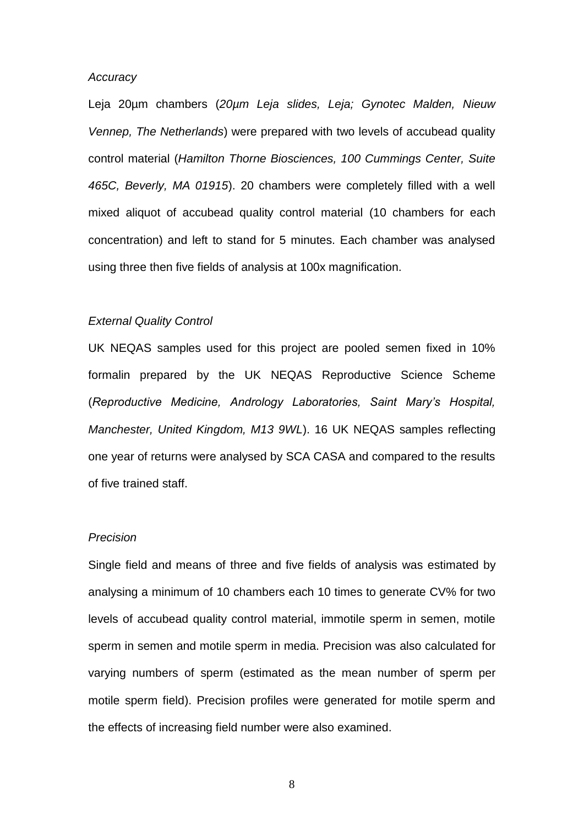#### *Accuracy*

Leja 20µm chambers (*20µm Leja slides, Leja; Gynotec Malden, Nieuw Vennep, The Netherlands*) were prepared with two levels of accubead quality control material (*Hamilton Thorne Biosciences, 100 Cummings Center, Suite 465C, Beverly, MA 01915*). 20 chambers were completely filled with a well mixed aliquot of accubead quality control material (10 chambers for each concentration) and left to stand for 5 minutes. Each chamber was analysed using three then five fields of analysis at 100x magnification.

## *External Quality Control*

UK NEQAS samples used for this project are pooled semen fixed in 10% formalin prepared by the UK NEQAS Reproductive Science Scheme (*Reproductive Medicine, Andrology Laboratories, Saint Mary's Hospital, Manchester, United Kingdom, M13 9WL*). 16 UK NEQAS samples reflecting one year of returns were analysed by SCA CASA and compared to the results of five trained staff.

## *Precision*

Single field and means of three and five fields of analysis was estimated by analysing a minimum of 10 chambers each 10 times to generate CV% for two levels of accubead quality control material, immotile sperm in semen, motile sperm in semen and motile sperm in media. Precision was also calculated for varying numbers of sperm (estimated as the mean number of sperm per motile sperm field). Precision profiles were generated for motile sperm and the effects of increasing field number were also examined.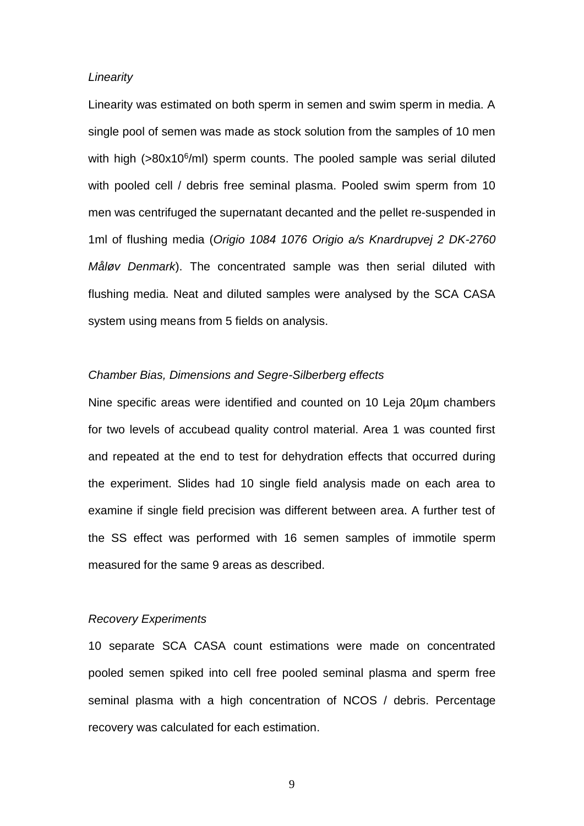## *Linearity*

Linearity was estimated on both sperm in semen and swim sperm in media. A single pool of semen was made as stock solution from the samples of 10 men with high (>80x10<sup>6</sup>/ml) sperm counts. The pooled sample was serial diluted with pooled cell / debris free seminal plasma. Pooled swim sperm from 10 men was centrifuged the supernatant decanted and the pellet re-suspended in 1ml of flushing media (*Origio 1084 1076 Origio a/s Knardrupvej 2 DK-2760 Måløv Denmark*). The concentrated sample was then serial diluted with flushing media. Neat and diluted samples were analysed by the SCA CASA system using means from 5 fields on analysis.

## *Chamber Bias, Dimensions and Segre-Silberberg effects*

Nine specific areas were identified and counted on 10 Leja 20µm chambers for two levels of accubead quality control material. Area 1 was counted first and repeated at the end to test for dehydration effects that occurred during the experiment. Slides had 10 single field analysis made on each area to examine if single field precision was different between area. A further test of the SS effect was performed with 16 semen samples of immotile sperm measured for the same 9 areas as described.

## *Recovery Experiments*

10 separate SCA CASA count estimations were made on concentrated pooled semen spiked into cell free pooled seminal plasma and sperm free seminal plasma with a high concentration of NCOS / debris. Percentage recovery was calculated for each estimation.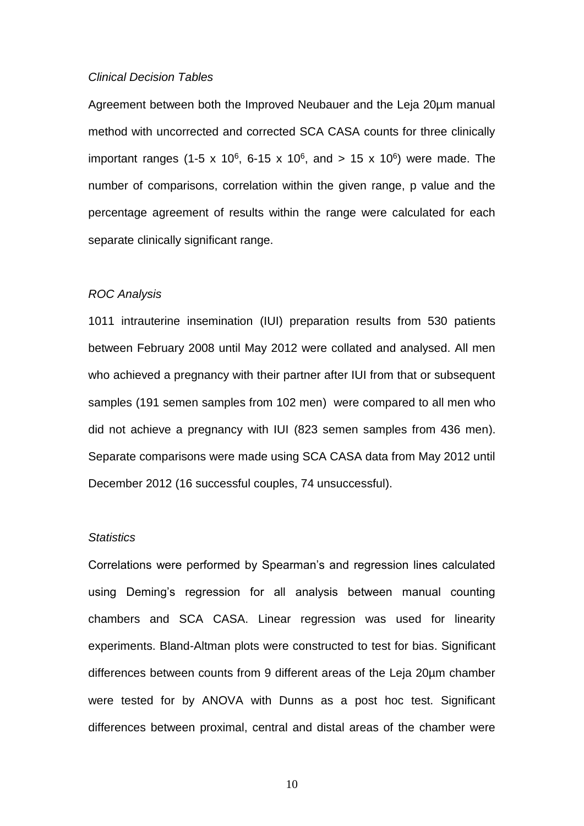#### *Clinical Decision Tables*

Agreement between both the Improved Neubauer and the Leja 20µm manual method with uncorrected and corrected SCA CASA counts for three clinically important ranges (1-5 x 10<sup>6</sup>, 6-15 x 10<sup>6</sup>, and > 15 x 10<sup>6</sup>) were made. The number of comparisons, correlation within the given range, p value and the percentage agreement of results within the range were calculated for each separate clinically significant range.

## *ROC Analysis*

1011 intrauterine insemination (IUI) preparation results from 530 patients between February 2008 until May 2012 were collated and analysed. All men who achieved a pregnancy with their partner after IUI from that or subsequent samples (191 semen samples from 102 men) were compared to all men who did not achieve a pregnancy with IUI (823 semen samples from 436 men). Separate comparisons were made using SCA CASA data from May 2012 until December 2012 (16 successful couples, 74 unsuccessful).

## *Statistics*

Correlations were performed by Spearman's and regression lines calculated using Deming's regression for all analysis between manual counting chambers and SCA CASA. Linear regression was used for linearity experiments. Bland-Altman plots were constructed to test for bias. Significant differences between counts from 9 different areas of the Leja 20µm chamber were tested for by ANOVA with Dunns as a post hoc test. Significant differences between proximal, central and distal areas of the chamber were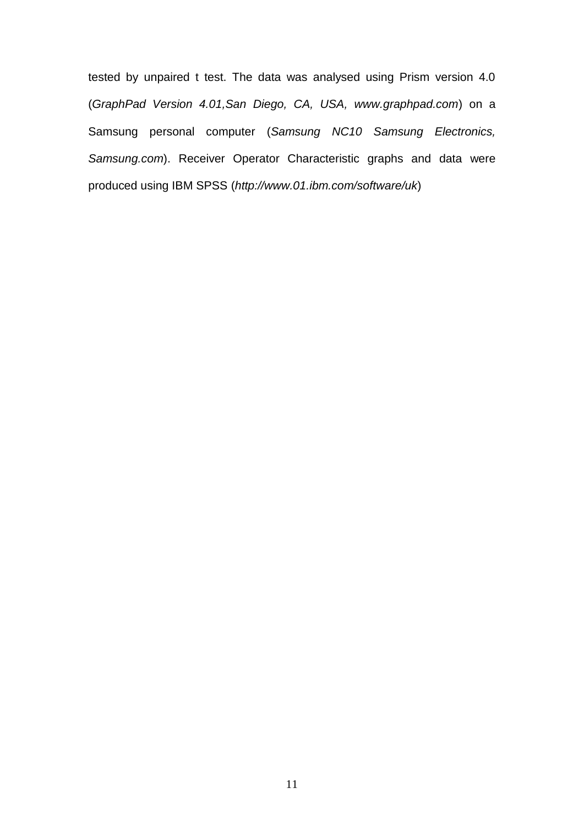tested by unpaired t test. The data was analysed using Prism version 4.0 (*GraphPad Version 4.01,San Diego, CA, USA, www.graphpad.com*) on a Samsung personal computer (*Samsung NC10 Samsung Electronics, Samsung.com*). Receiver Operator Characteristic graphs and data were produced using IBM SPSS (*http://www.01.ibm.com/software/uk*)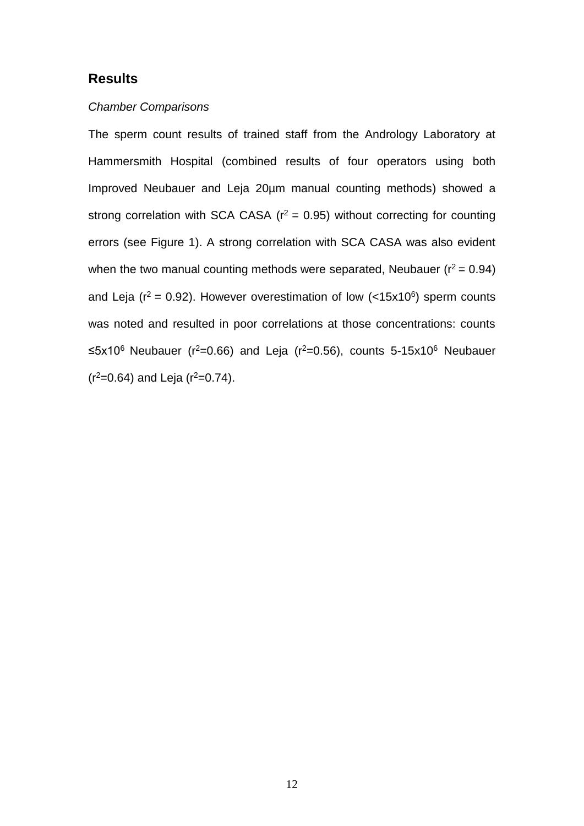# **Results**

## *Chamber Comparisons*

The sperm count results of trained staff from the Andrology Laboratory at Hammersmith Hospital (combined results of four operators using both Improved Neubauer and Leja 20µm manual counting methods) showed a strong correlation with SCA CASA ( $r^2$  = 0.95) without correcting for counting errors (see Figure 1). A strong correlation with SCA CASA was also evident when the two manual counting methods were separated, Neubauer ( $r^2 = 0.94$ ) and Leja ( $r^2$  = 0.92). However overestimation of low (<15x10<sup>6</sup>) sperm counts was noted and resulted in poor correlations at those concentrations: counts ≤5x10<sup>6</sup> Neubauer (r<sup>2</sup>=0.66) and Leja (r<sup>2</sup>=0.56), counts 5-15x10<sup>6</sup> Neubauer  $(r^2=0.64)$  and Leja  $(r^2=0.74)$ .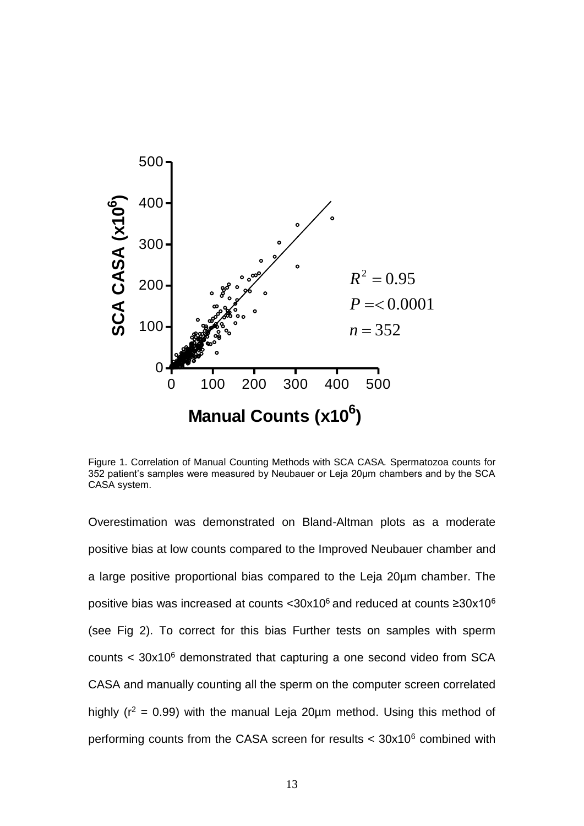

Figure 1. Correlation of Manual Counting Methods with SCA CASA*.* Spermatozoa counts for 352 patient's samples were measured by Neubauer or Leja 20µm chambers and by the SCA CASA system.

Overestimation was demonstrated on Bland-Altman plots as a moderate positive bias at low counts compared to the Improved Neubauer chamber and a large positive proportional bias compared to the Leja 20µm chamber. The positive bias was increased at counts < $30x10^6$  and reduced at counts  $\geq 30x10^6$ (see Fig 2). To correct for this bias Further tests on samples with sperm counts < 30x10<sup>6</sup> demonstrated that capturing a one second video from SCA CASA and manually counting all the sperm on the computer screen correlated highly ( $r^2$  = 0.99) with the manual Leja 20 $\mu$ m method. Using this method of performing counts from the CASA screen for results < 30x10<sup>6</sup> combined with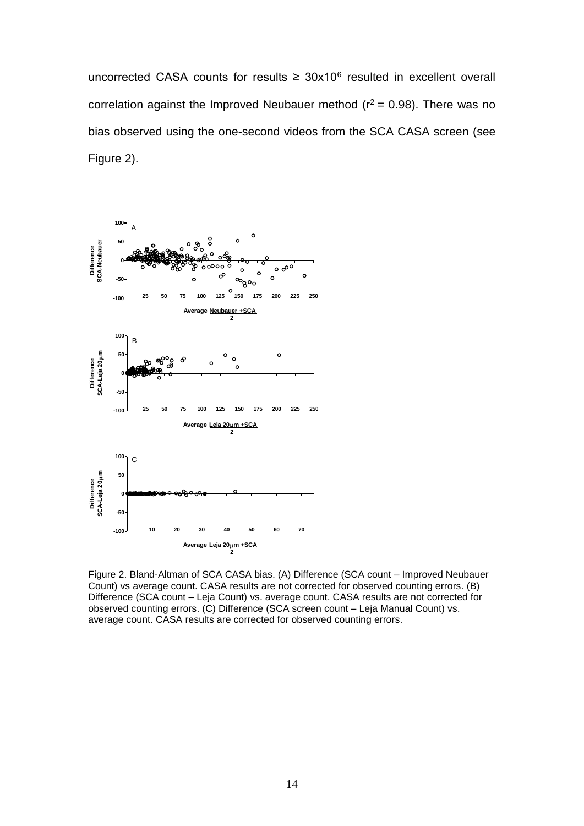uncorrected CASA counts for results  $\geq 30x10^6$  resulted in excellent overall correlation against the Improved Neubauer method ( $r^2 = 0.98$ ). There was no bias observed using the one-second videos from the SCA CASA screen (see Figure 2).



Figure 2. Bland-Altman of SCA CASA bias. (A) Difference (SCA count – Improved Neubauer Count) vs average count. CASA results are not corrected for observed counting errors. (B) Difference (SCA count – Leja Count) vs. average count. CASA results are not corrected for observed counting errors. (C) Difference (SCA screen count – Leja Manual Count) vs. average count. CASA results are corrected for observed counting errors.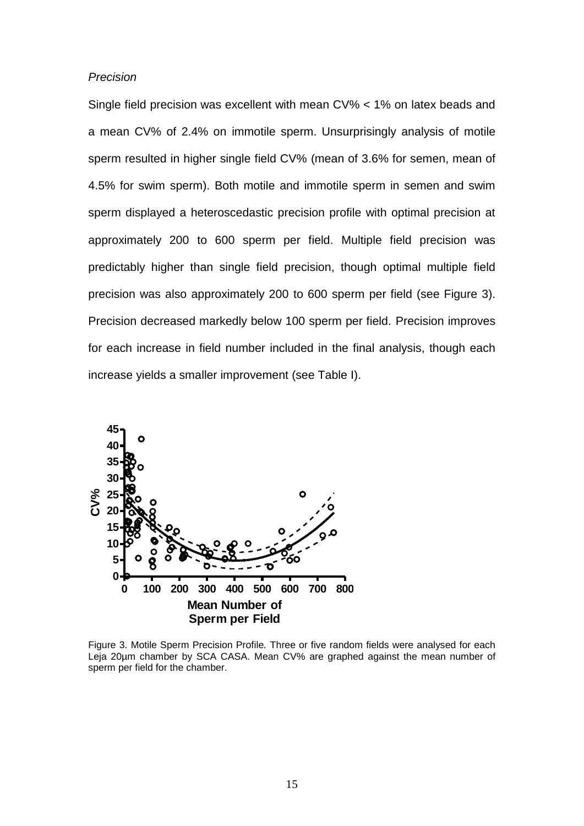#### *Precision*

Single field precision was excellent with mean CV% < 1% on latex beads and a mean CV% of 2.4% on immotile sperm. Unsurprisingly analysis of motile sperm resulted in higher single field CV% (mean of 3.6% for semen, mean of 4.5% for swim sperm). Both motile and immotile sperm in semen and swim sperm displayed a heteroscedastic precision profile with optimal precision at approximately 200 to 600 sperm per field. Multiple field precision was predictably higher than single field precision, though optimal multiple field precision was also approximately 200 to 600 sperm per field (see Figure 3). Precision decreased markedly below 100 sperm per field. Precision improves for each increase in field number included in the final analysis, though each increase yields a smaller improvement (see Table I).



Figure 3. Motile Sperm Precision Profile*.* Three or five random fields were analysed for each Leja 20µm chamber by SCA CASA. Mean CV% are graphed against the mean number of sperm per field for the chamber.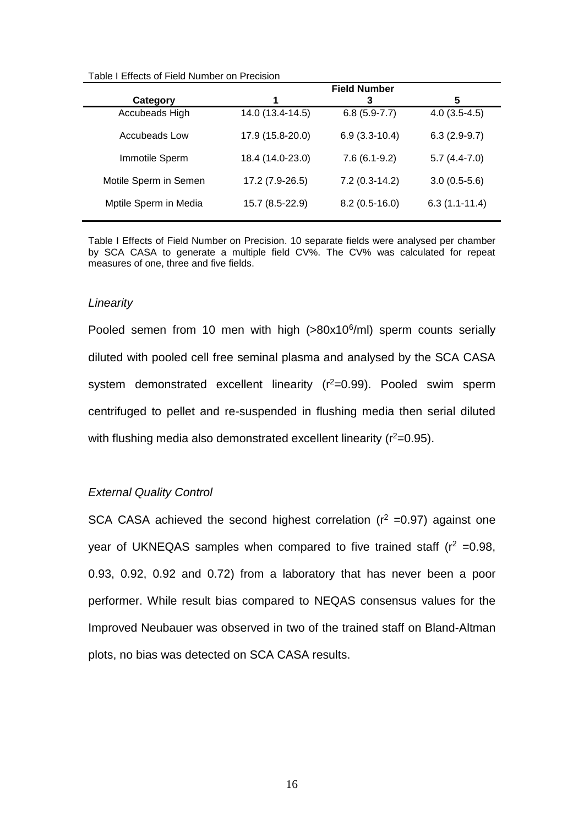|                       | <b>Field Number</b> |                 |                 |
|-----------------------|---------------------|-----------------|-----------------|
| Category              | 1                   | 3               | 5               |
| Accubeads High        | 14.0 (13.4-14.5)    | $6.8(5.9-7.7)$  | $4.0(3.5-4.5)$  |
| <b>Accubeads Low</b>  | 17.9 (15.8-20.0)    | $6.9(3.3-10.4)$ | $6.3(2.9-9.7)$  |
| Immotile Sperm        | 18.4 (14.0-23.0)    | $7.6(6.1-9.2)$  | $5.7(4.4-7.0)$  |
| Motile Sperm in Semen | 17.2 (7.9-26.5)     | $7.2(0.3-14.2)$ | $3.0(0.5-5.6)$  |
| Mptile Sperm in Media | 15.7 (8.5-22.9)     | $8.2(0.5-16.0)$ | $6.3(1.1-11.4)$ |

Table I Effects of Field Number on Precision. 10 separate fields were analysed per chamber by SCA CASA to generate a multiple field CV%. The CV% was calculated for repeat measures of one, three and five fields.

#### *Linearity*

Pooled semen from 10 men with high (>80x10<sup>6</sup>/ml) sperm counts serially diluted with pooled cell free seminal plasma and analysed by the SCA CASA system demonstrated excellent linearity  $(r^2=0.99)$ . Pooled swim sperm centrifuged to pellet and re-suspended in flushing media then serial diluted with flushing media also demonstrated excellent linearity  $(r^2=0.95)$ .

## *External Quality Control*

SCA CASA achieved the second highest correlation ( $r^2 = 0.97$ ) against one year of UKNEQAS samples when compared to five trained staff  $(r^2 = 0.98,$ 0.93, 0.92, 0.92 and 0.72) from a laboratory that has never been a poor performer. While result bias compared to NEQAS consensus values for the Improved Neubauer was observed in two of the trained staff on Bland-Altman plots, no bias was detected on SCA CASA results.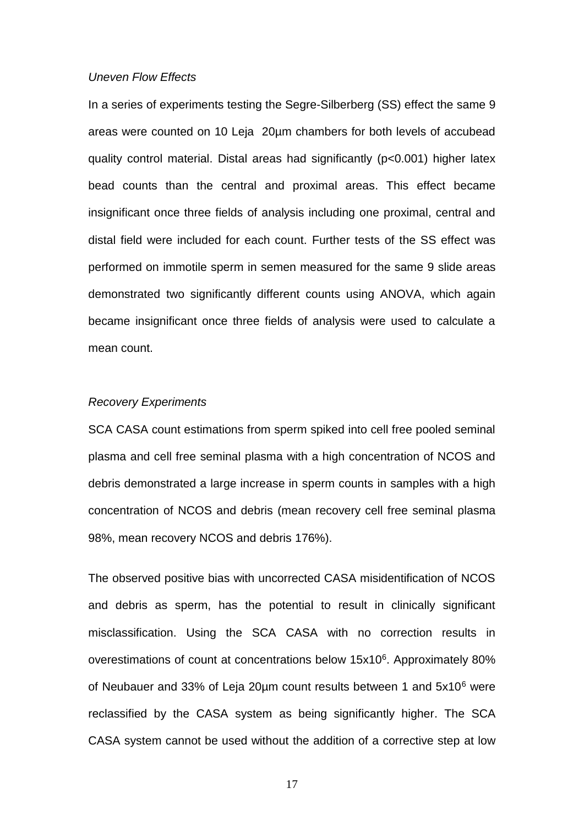## *Uneven Flow Effects*

In a series of experiments testing the Segre-Silberberg (SS) effect the same 9 areas were counted on 10 Leja 20µm chambers for both levels of accubead quality control material. Distal areas had significantly (p<0.001) higher latex bead counts than the central and proximal areas. This effect became insignificant once three fields of analysis including one proximal, central and distal field were included for each count. Further tests of the SS effect was performed on immotile sperm in semen measured for the same 9 slide areas demonstrated two significantly different counts using ANOVA, which again became insignificant once three fields of analysis were used to calculate a mean count.

## *Recovery Experiments*

SCA CASA count estimations from sperm spiked into cell free pooled seminal plasma and cell free seminal plasma with a high concentration of NCOS and debris demonstrated a large increase in sperm counts in samples with a high concentration of NCOS and debris (mean recovery cell free seminal plasma 98%, mean recovery NCOS and debris 176%).

The observed positive bias with uncorrected CASA misidentification of NCOS and debris as sperm, has the potential to result in clinically significant misclassification. Using the SCA CASA with no correction results in overestimations of count at concentrations below 15x10<sup>6</sup>. Approximately 80% of Neubauer and 33% of Leja 20µm count results between 1 and 5x10<sup>6</sup> were reclassified by the CASA system as being significantly higher. The SCA CASA system cannot be used without the addition of a corrective step at low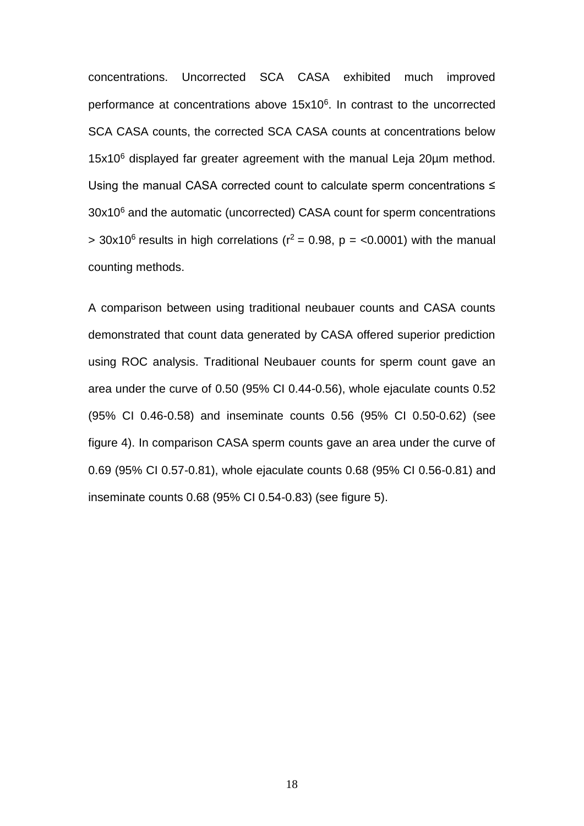concentrations. Uncorrected SCA CASA exhibited much improved performance at concentrations above 15x10<sup>6</sup>. In contrast to the uncorrected SCA CASA counts, the corrected SCA CASA counts at concentrations below 15x10<sup>6</sup> displayed far greater agreement with the manual Leja 20µm method. Using the manual CASA corrected count to calculate sperm concentrations ≤ 30x10<sup>6</sup> and the automatic (uncorrected) CASA count for sperm concentrations  $>$  30x10<sup>6</sup> results in high correlations ( $r^2$  = 0.98, p = <0.0001) with the manual counting methods.

A comparison between using traditional neubauer counts and CASA counts demonstrated that count data generated by CASA offered superior prediction using ROC analysis. Traditional Neubauer counts for sperm count gave an area under the curve of 0.50 (95% CI 0.44-0.56), whole ejaculate counts 0.52 (95% CI 0.46-0.58) and inseminate counts 0.56 (95% CI 0.50-0.62) (see figure 4). In comparison CASA sperm counts gave an area under the curve of 0.69 (95% CI 0.57-0.81), whole ejaculate counts 0.68 (95% CI 0.56-0.81) and inseminate counts 0.68 (95% CI 0.54-0.83) (see figure 5).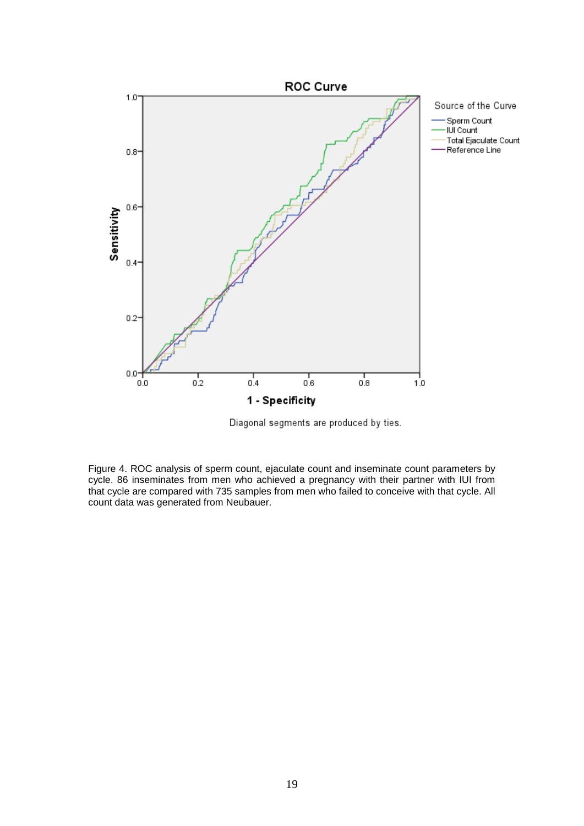

Diagonal segments are produced by ties.

Figure 4. ROC analysis of sperm count, ejaculate count and inseminate count parameters by cycle. 86 inseminates from men who achieved a pregnancy with their partner with IUI from that cycle are compared with 735 samples from men who failed to conceive with that cycle. All count data was generated from Neubauer.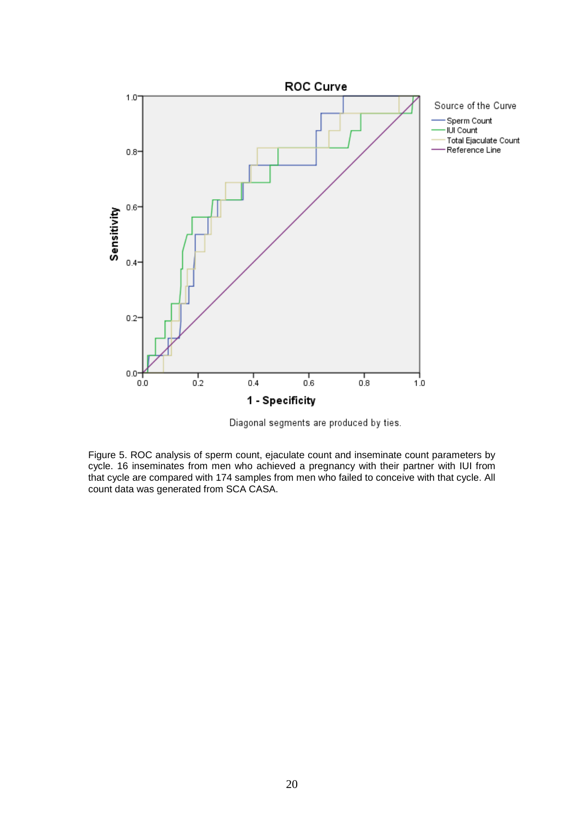

Diagonal segments are produced by ties.

Figure 5. ROC analysis of sperm count, ejaculate count and inseminate count parameters by cycle. 16 inseminates from men who achieved a pregnancy with their partner with IUI from that cycle are compared with 174 samples from men who failed to conceive with that cycle. All count data was generated from SCA CASA.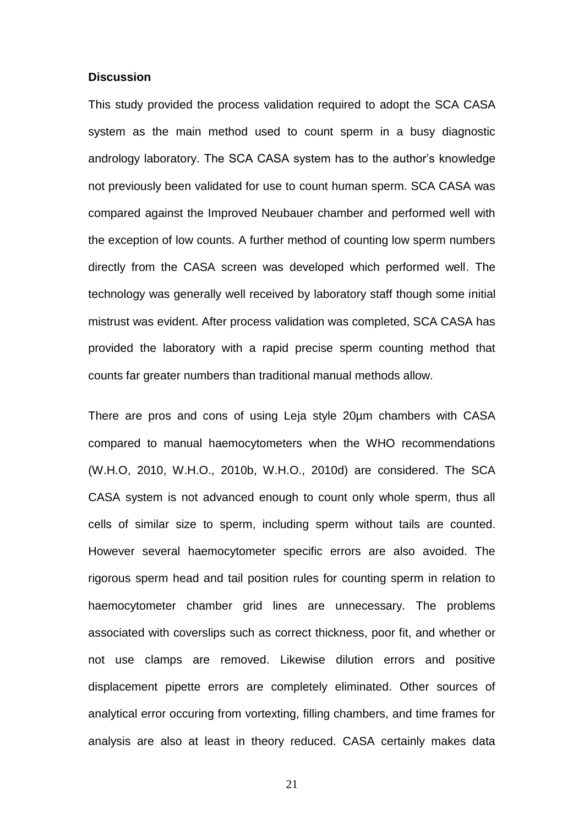#### **Discussion**

This study provided the process validation required to adopt the SCA CASA system as the main method used to count sperm in a busy diagnostic andrology laboratory. The SCA CASA system has to the author's knowledge not previously been validated for use to count human sperm. SCA CASA was compared against the Improved Neubauer chamber and performed well with the exception of low counts. A further method of counting low sperm numbers directly from the CASA screen was developed which performed well. The technology was generally well received by laboratory staff though some initial mistrust was evident. After process validation was completed, SCA CASA has provided the laboratory with a rapid precise sperm counting method that counts far greater numbers than traditional manual methods allow.

There are pros and cons of using Leja style 20µm chambers with CASA compared to manual haemocytometers when the WHO recommendations [\(W.H.O, 2010,](#page-31-5) [W.H.O., 2010b,](#page-31-4) [W.H.O., 2010d\)](#page-32-2) are considered. The SCA CASA system is not advanced enough to count only whole sperm, thus all cells of similar size to sperm, including sperm without tails are counted. However several haemocytometer specific errors are also avoided. The rigorous sperm head and tail position rules for counting sperm in relation to haemocytometer chamber grid lines are unnecessary. The problems associated with coverslips such as correct thickness, poor fit, and whether or not use clamps are removed. Likewise dilution errors and positive displacement pipette errors are completely eliminated. Other sources of analytical error occuring from vortexting, filling chambers, and time frames for analysis are also at least in theory reduced. CASA certainly makes data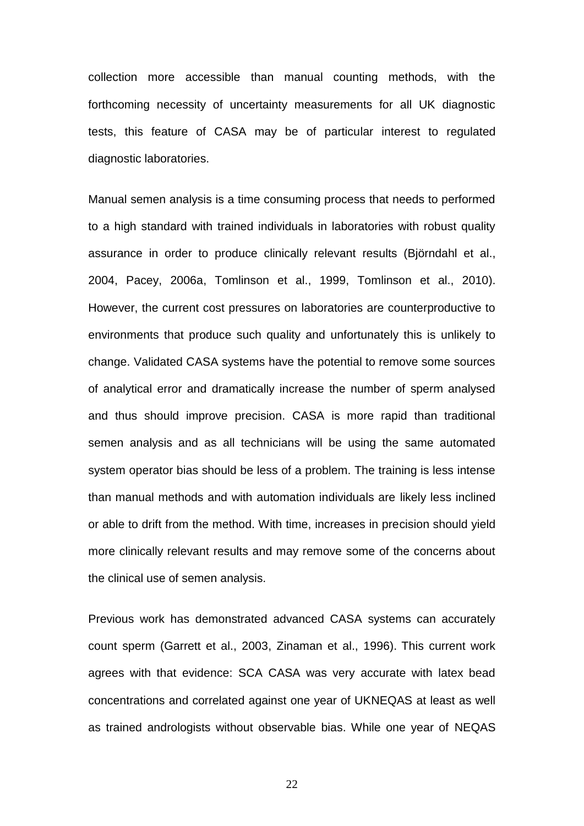collection more accessible than manual counting methods, with the forthcoming necessity of uncertainty measurements for all UK diagnostic tests, this feature of CASA may be of particular interest to regulated diagnostic laboratories.

Manual semen analysis is a time consuming process that needs to performed to a high standard with trained individuals in laboratories with robust quality assurance in order to produce clinically relevant results [\(Björndahl et al.,](#page-27-9)  [2004,](#page-27-9) [Pacey, 2006a,](#page-30-7) [Tomlinson et al., 1999,](#page-31-8) [Tomlinson et al., 2010\)](#page-31-6). However, the current cost pressures on laboratories are counterproductive to environments that produce such quality and unfortunately this is unlikely to change. Validated CASA systems have the potential to remove some sources of analytical error and dramatically increase the number of sperm analysed and thus should improve precision. CASA is more rapid than traditional semen analysis and as all technicians will be using the same automated system operator bias should be less of a problem. The training is less intense than manual methods and with automation individuals are likely less inclined or able to drift from the method. With time, increases in precision should yield more clinically relevant results and may remove some of the concerns about the clinical use of semen analysis.

Previous work has demonstrated advanced CASA systems can accurately count sperm [\(Garrett et al., 2003,](#page-28-6) [Zinaman et al., 1996\)](#page-32-3). This current work agrees with that evidence: SCA CASA was very accurate with latex bead concentrations and correlated against one year of UKNEQAS at least as well as trained andrologists without observable bias. While one year of NEQAS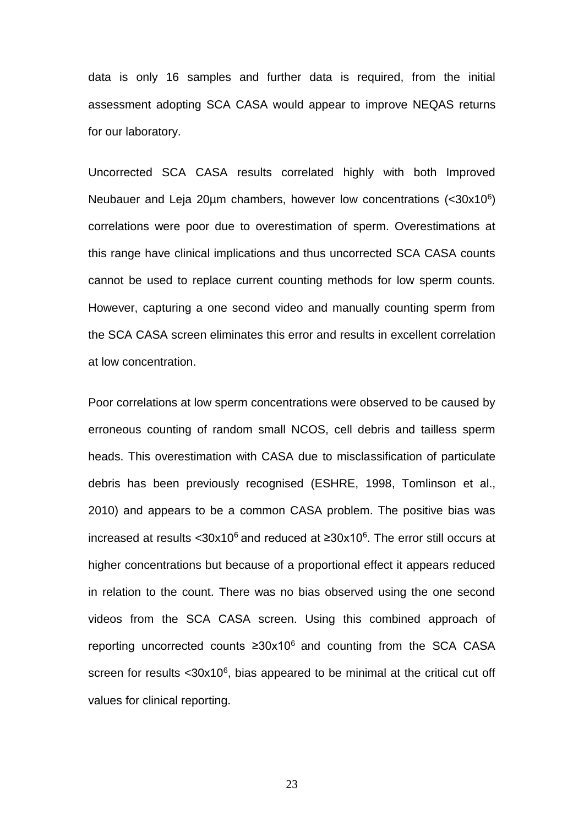data is only 16 samples and further data is required, from the initial assessment adopting SCA CASA would appear to improve NEQAS returns for our laboratory.

Uncorrected SCA CASA results correlated highly with both Improved Neubauer and Leja 20µm chambers, however low concentrations (<30x10<sup>6</sup>) correlations were poor due to overestimation of sperm. Overestimations at this range have clinical implications and thus uncorrected SCA CASA counts cannot be used to replace current counting methods for low sperm counts. However, capturing a one second video and manually counting sperm from the SCA CASA screen eliminates this error and results in excellent correlation at low concentration.

Poor correlations at low sperm concentrations were observed to be caused by erroneous counting of random small NCOS, cell debris and tailless sperm heads. This overestimation with CASA due to misclassification of particulate debris has been previously recognised [\(ESHRE, 1998,](#page-28-8) [Tomlinson et al.,](#page-31-6)  [2010\)](#page-31-6) and appears to be a common CASA problem. The positive bias was increased at results <30x10<sup>6</sup> and reduced at ≥30x10<sup>6</sup>. The error still occurs at higher concentrations but because of a proportional effect it appears reduced in relation to the count. There was no bias observed using the one second videos from the SCA CASA screen. Using this combined approach of reporting uncorrected counts  $\geq 30x10^6$  and counting from the SCA CASA screen for results  $<30x10^6$ , bias appeared to be minimal at the critical cut off values for clinical reporting.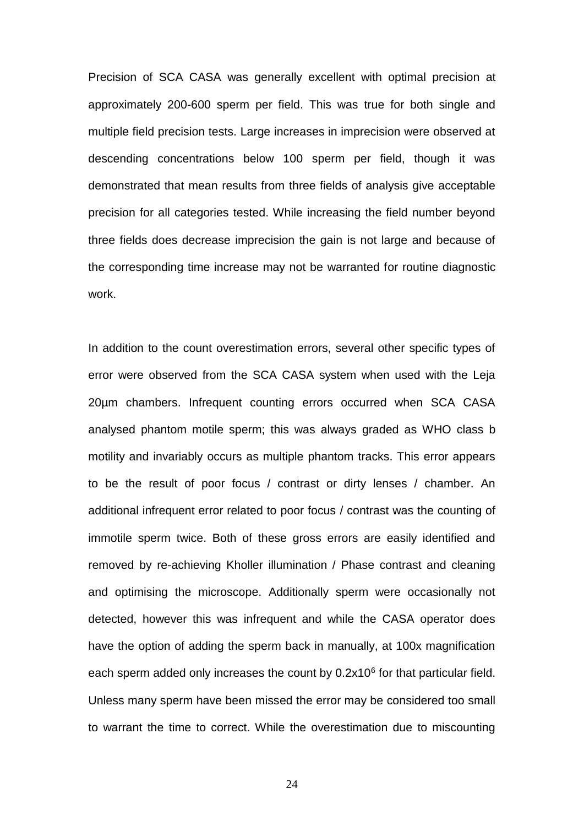Precision of SCA CASA was generally excellent with optimal precision at approximately 200-600 sperm per field. This was true for both single and multiple field precision tests. Large increases in imprecision were observed at descending concentrations below 100 sperm per field, though it was demonstrated that mean results from three fields of analysis give acceptable precision for all categories tested. While increasing the field number beyond three fields does decrease imprecision the gain is not large and because of the corresponding time increase may not be warranted for routine diagnostic work.

In addition to the count overestimation errors, several other specific types of error were observed from the SCA CASA system when used with the Leja 20µm chambers. Infrequent counting errors occurred when SCA CASA analysed phantom motile sperm; this was always graded as WHO class b motility and invariably occurs as multiple phantom tracks. This error appears to be the result of poor focus / contrast or dirty lenses / chamber. An additional infrequent error related to poor focus / contrast was the counting of immotile sperm twice. Both of these gross errors are easily identified and removed by re-achieving Kholler illumination / Phase contrast and cleaning and optimising the microscope. Additionally sperm were occasionally not detected, however this was infrequent and while the CASA operator does have the option of adding the sperm back in manually, at 100x magnification each sperm added only increases the count by  $0.2x10<sup>6</sup>$  for that particular field. Unless many sperm have been missed the error may be considered too small to warrant the time to correct. While the overestimation due to miscounting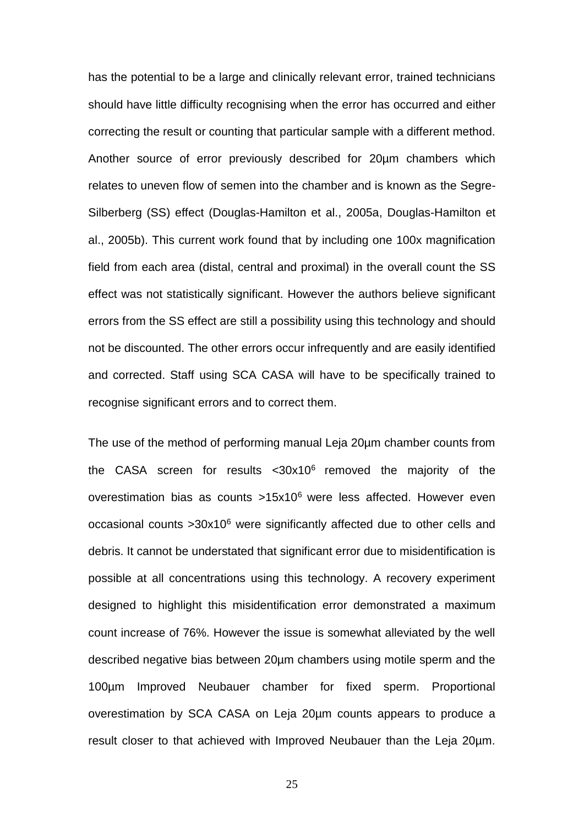has the potential to be a large and clinically relevant error, trained technicians should have little difficulty recognising when the error has occurred and either correcting the result or counting that particular sample with a different method. Another source of error previously described for 20µm chambers which relates to uneven flow of semen into the chamber and is known as the Segre-Silberberg (SS) effect [\(Douglas-Hamilton et al., 2005a,](#page-28-3) [Douglas-Hamilton et](#page-28-4)  [al., 2005b\)](#page-28-4). This current work found that by including one 100x magnification field from each area (distal, central and proximal) in the overall count the SS effect was not statistically significant. However the authors believe significant errors from the SS effect are still a possibility using this technology and should not be discounted. The other errors occur infrequently and are easily identified and corrected. Staff using SCA CASA will have to be specifically trained to recognise significant errors and to correct them.

The use of the method of performing manual Leja 20µm chamber counts from the CASA screen for results  $<$ 30x10 $<sup>6</sup>$  removed the majority of the</sup> overestimation bias as counts  $>15x10^6$  were less affected. However even occasional counts >30x10<sup>6</sup> were significantly affected due to other cells and debris. It cannot be understated that significant error due to misidentification is possible at all concentrations using this technology. A recovery experiment designed to highlight this misidentification error demonstrated a maximum count increase of 76%. However the issue is somewhat alleviated by the well described negative bias between 20µm chambers using motile sperm and the 100µm Improved Neubauer chamber for fixed sperm. Proportional overestimation by SCA CASA on Leja 20µm counts appears to produce a result closer to that achieved with Improved Neubauer than the Leja 20µm.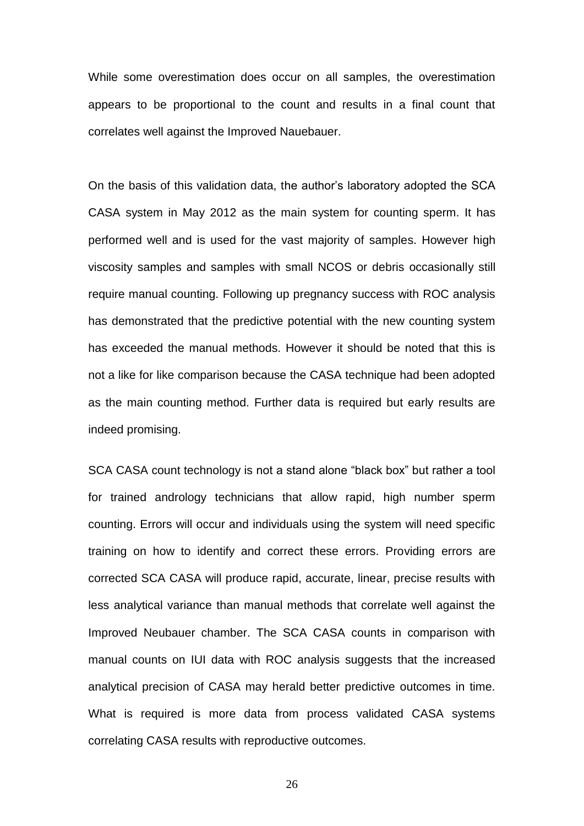While some overestimation does occur on all samples, the overestimation appears to be proportional to the count and results in a final count that correlates well against the Improved Nauebauer.

On the basis of this validation data, the author's laboratory adopted the SCA CASA system in May 2012 as the main system for counting sperm. It has performed well and is used for the vast majority of samples. However high viscosity samples and samples with small NCOS or debris occasionally still require manual counting. Following up pregnancy success with ROC analysis has demonstrated that the predictive potential with the new counting system has exceeded the manual methods. However it should be noted that this is not a like for like comparison because the CASA technique had been adopted as the main counting method. Further data is required but early results are indeed promising.

SCA CASA count technology is not a stand alone "black box" but rather a tool for trained andrology technicians that allow rapid, high number sperm counting. Errors will occur and individuals using the system will need specific training on how to identify and correct these errors. Providing errors are corrected SCA CASA will produce rapid, accurate, linear, precise results with less analytical variance than manual methods that correlate well against the Improved Neubauer chamber. The SCA CASA counts in comparison with manual counts on IUI data with ROC analysis suggests that the increased analytical precision of CASA may herald better predictive outcomes in time. What is required is more data from process validated CASA systems correlating CASA results with reproductive outcomes.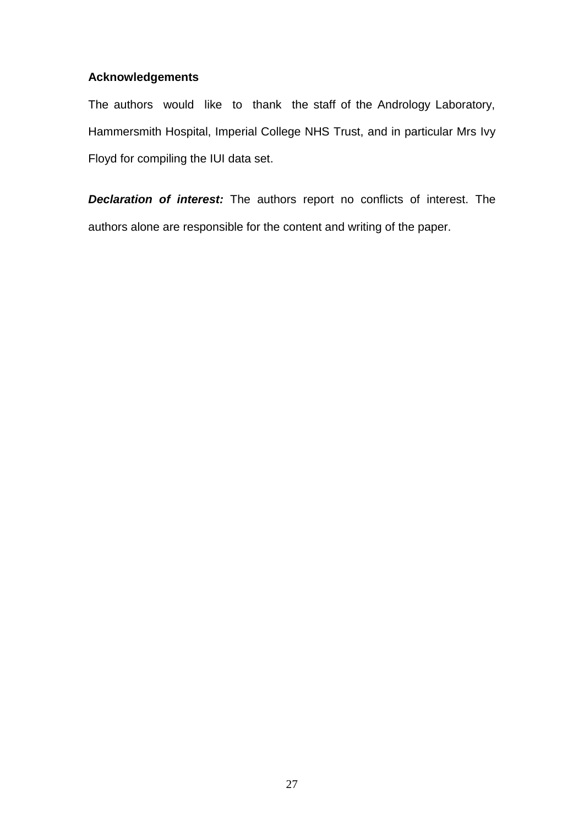## **Acknowledgements**

The authors would like to thank the staff of the Andrology Laboratory, Hammersmith Hospital, Imperial College NHS Trust, and in particular Mrs Ivy Floyd for compiling the IUI data set.

*Declaration of interest:* The authors report no conflicts of interest. The authors alone are responsible for the content and writing of the paper.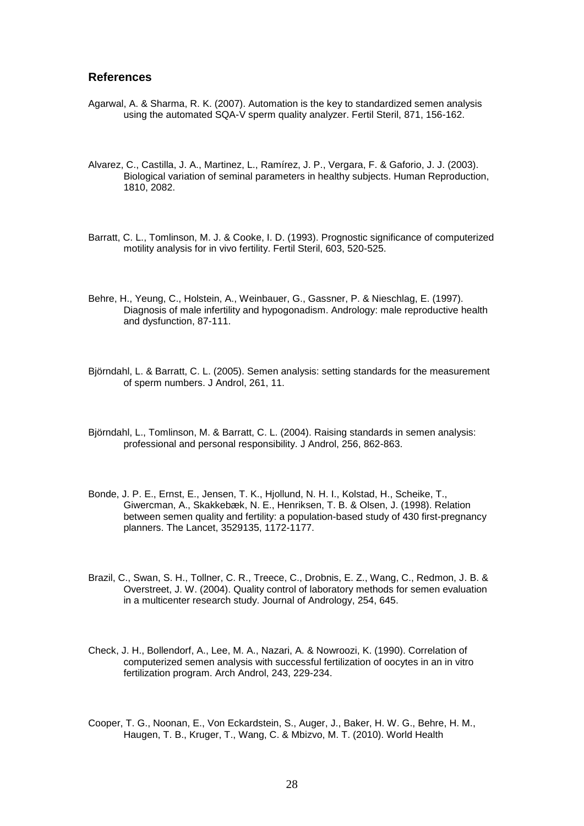#### <span id="page-27-7"></span>**References**

- Agarwal, A. & Sharma, R. K. (2007). Automation is the key to standardized semen analysis using the automated SQA-V sperm quality analyzer. Fertil Steril, 871, 156-162.
- <span id="page-27-8"></span>Alvarez, C., Castilla, J. A., Martinez, L., Ramírez, J. P., Vergara, F. & Gaforio, J. J. (2003). Biological variation of seminal parameters in healthy subjects. Human Reproduction, 1810, 2082.
- <span id="page-27-5"></span>Barratt, C. L., Tomlinson, M. J. & Cooke, I. D. (1993). Prognostic significance of computerized motility analysis for in vivo fertility. Fertil Steril, 603, 520-525.
- <span id="page-27-2"></span>Behre, H., Yeung, C., Holstein, A., Weinbauer, G., Gassner, P. & Nieschlag, E. (1997). Diagnosis of male infertility and hypogonadism. Andrology: male reproductive health and dysfunction, 87-111.
- <span id="page-27-4"></span>Björndahl, L. & Barratt, C. L. (2005). Semen analysis: setting standards for the measurement of sperm numbers. J Androl, 261, 11.
- <span id="page-27-9"></span>Björndahl, L., Tomlinson, M. & Barratt, C. L. (2004). Raising standards in semen analysis: professional and personal responsibility. J Androl, 256, 862-863.
- <span id="page-27-0"></span>Bonde, J. P. E., Ernst, E., Jensen, T. K., Hjollund, N. H. I., Kolstad, H., Scheike, T., Giwercman, A., Skakkebæk, N. E., Henriksen, T. B. & Olsen, J. (1998). Relation between semen quality and fertility: a population-based study of 430 first-pregnancy planners. The Lancet, 3529135, 1172-1177.
- <span id="page-27-3"></span>Brazil, C., Swan, S. H., Tollner, C. R., Treece, C., Drobnis, E. Z., Wang, C., Redmon, J. B. & Overstreet, J. W. (2004). Quality control of laboratory methods for semen evaluation in a multicenter research study. Journal of Andrology, 254, 645.
- <span id="page-27-6"></span>Check, J. H., Bollendorf, A., Lee, M. A., Nazari, A. & Nowroozi, K. (1990). Correlation of computerized semen analysis with successful fertilization of oocytes in an in vitro fertilization program. Arch Androl, 243, 229-234.
- <span id="page-27-1"></span>Cooper, T. G., Noonan, E., Von Eckardstein, S., Auger, J., Baker, H. W. G., Behre, H. M., Haugen, T. B., Kruger, T., Wang, C. & Mbizvo, M. T. (2010). World Health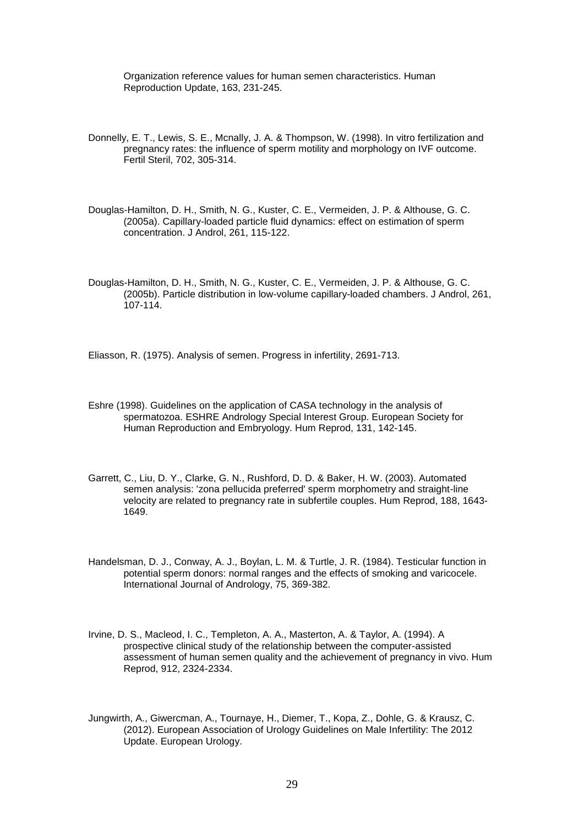Organization reference values for human semen characteristics. Human Reproduction Update, 163, 231-245.

- <span id="page-28-5"></span>Donnelly, E. T., Lewis, S. E., Mcnally, J. A. & Thompson, W. (1998). In vitro fertilization and pregnancy rates: the influence of sperm motility and morphology on IVF outcome. Fertil Steril, 702, 305-314.
- <span id="page-28-3"></span>Douglas-Hamilton, D. H., Smith, N. G., Kuster, C. E., Vermeiden, J. P. & Althouse, G. C. (2005a). Capillary-loaded particle fluid dynamics: effect on estimation of sperm concentration. J Androl, 261, 115-122.
- <span id="page-28-4"></span>Douglas-Hamilton, D. H., Smith, N. G., Kuster, C. E., Vermeiden, J. P. & Althouse, G. C. (2005b). Particle distribution in low-volume capillary-loaded chambers. J Androl, 261, 107-114.

<span id="page-28-1"></span>Eliasson, R. (1975). Analysis of semen. Progress in infertility, 2691-713.

- <span id="page-28-8"></span>Eshre (1998). Guidelines on the application of CASA technology in the analysis of spermatozoa. ESHRE Andrology Special Interest Group. European Society for Human Reproduction and Embryology. Hum Reprod, 131, 142-145.
- <span id="page-28-6"></span>Garrett, C., Liu, D. Y., Clarke, G. N., Rushford, D. D. & Baker, H. W. (2003). Automated semen analysis: 'zona pellucida preferred' sperm morphometry and straight-line velocity are related to pregnancy rate in subfertile couples. Hum Reprod, 188, 1643- 1649.
- <span id="page-28-2"></span>Handelsman, D. J., Conway, A. J., Boylan, L. M. & Turtle, J. R. (1984). Testicular function in potential sperm donors: normal ranges and the effects of smoking and varicocele. International Journal of Andrology, 75, 369-382.
- <span id="page-28-7"></span>Irvine, D. S., Macleod, I. C., Templeton, A. A., Masterton, A. & Taylor, A. (1994). A prospective clinical study of the relationship between the computer-assisted assessment of human semen quality and the achievement of pregnancy in vivo. Hum Reprod, 912, 2324-2334.
- <span id="page-28-0"></span>Jungwirth, A., Giwercman, A., Tournaye, H., Diemer, T., Kopa, Z., Dohle, G. & Krausz, C. (2012). European Association of Urology Guidelines on Male Infertility: The 2012 Update. European Urology.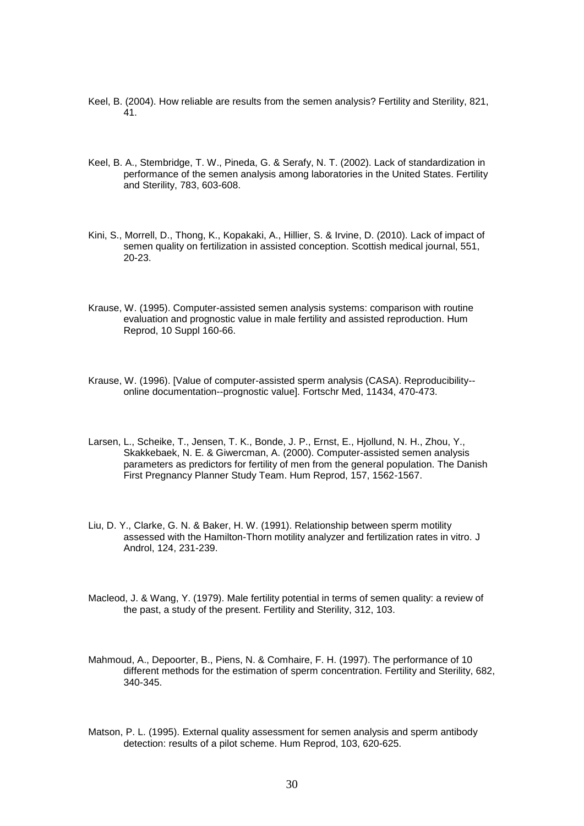- <span id="page-29-4"></span>Keel, B. (2004). How reliable are results from the semen analysis? Fertility and Sterility, 821, 41.
- <span id="page-29-5"></span>Keel, B. A., Stembridge, T. W., Pineda, G. & Serafy, N. T. (2002). Lack of standardization in performance of the semen analysis among laboratories in the United States. Fertility and Sterility, 783, 603-608.
- <span id="page-29-3"></span>Kini, S., Morrell, D., Thong, K., Kopakaki, A., Hillier, S. & Irvine, D. (2010). Lack of impact of semen quality on fertilization in assisted conception. Scottish medical journal, 551, 20-23.
- <span id="page-29-8"></span>Krause, W. (1995). Computer-assisted semen analysis systems: comparison with routine evaluation and prognostic value in male fertility and assisted reproduction. Hum Reprod, 10 Suppl 160-66.
- <span id="page-29-0"></span>Krause, W. (1996). [Value of computer-assisted sperm analysis (CASA). Reproducibility- online documentation--prognostic value]. Fortschr Med, 11434, 470-473.
- <span id="page-29-1"></span>Larsen, L., Scheike, T., Jensen, T. K., Bonde, J. P., Ernst, E., Hjollund, N. H., Zhou, Y., Skakkebaek, N. E. & Giwercman, A. (2000). Computer-assisted semen analysis parameters as predictors for fertility of men from the general population. The Danish First Pregnancy Planner Study Team. Hum Reprod, 157, 1562-1567.
- <span id="page-29-9"></span>Liu, D. Y., Clarke, G. N. & Baker, H. W. (1991). Relationship between sperm motility assessed with the Hamilton-Thorn motility analyzer and fertilization rates in vitro. J Androl, 124, 231-239.
- <span id="page-29-2"></span>Macleod, J. & Wang, Y. (1979). Male fertility potential in terms of semen quality: a review of the past, a study of the present. Fertility and Sterility, 312, 103.
- <span id="page-29-7"></span>Mahmoud, A., Depoorter, B., Piens, N. & Comhaire, F. H. (1997). The performance of 10 different methods for the estimation of sperm concentration. Fertility and Sterility, 682, 340-345.
- <span id="page-29-6"></span>Matson, P. L. (1995). External quality assessment for semen analysis and sperm antibody detection: results of a pilot scheme. Hum Reprod, 103, 620-625.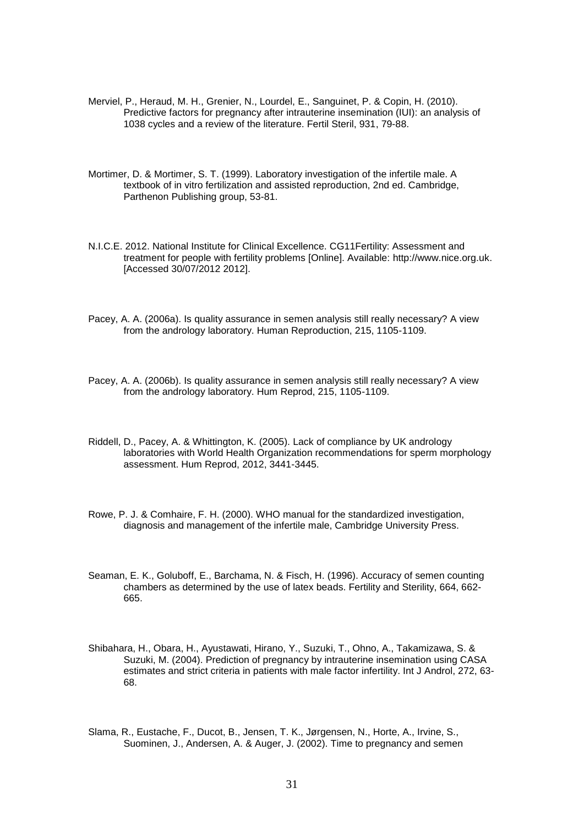- <span id="page-30-3"></span>Merviel, P., Heraud, M. H., Grenier, N., Lourdel, E., Sanguinet, P. & Copin, H. (2010). Predictive factors for pregnancy after intrauterine insemination (IUI): an analysis of 1038 cycles and a review of the literature. Fertil Steril, 931, 79-88.
- <span id="page-30-0"></span>Mortimer, D. & Mortimer, S. T. (1999). Laboratory investigation of the infertile male. A textbook of in vitro fertilization and assisted reproduction, 2nd ed. Cambridge, Parthenon Publishing group, 53-81.
- <span id="page-30-1"></span>N.I.C.E. 2012. National Institute for Clinical Excellence. CG11Fertility: Assessment and treatment for people with fertility problems [Online]. Available: [http://www.nice.org.uk.](http://www.nice.org.uk/) [Accessed 30/07/2012 2012].
- <span id="page-30-7"></span>Pacey, A. A. (2006a). Is quality assurance in semen analysis still really necessary? A view from the andrology laboratory. Human Reproduction, 215, 1105-1109.
- <span id="page-30-5"></span>Pacey, A. A. (2006b). Is quality assurance in semen analysis still really necessary? A view from the andrology laboratory. Hum Reprod, 215, 1105-1109.
- <span id="page-30-6"></span>Riddell, D., Pacey, A. & Whittington, K. (2005). Lack of compliance by UK andrology laboratories with World Health Organization recommendations for sperm morphology assessment. Hum Reprod, 2012, 3441-3445.
- <span id="page-30-2"></span>Rowe, P. J. & Comhaire, F. H. (2000). WHO manual for the standardized investigation, diagnosis and management of the infertile male, Cambridge University Press.
- <span id="page-30-8"></span>Seaman, E. K., Goluboff, E., Barchama, N. & Fisch, H. (1996). Accuracy of semen counting chambers as determined by the use of latex beads. Fertility and Sterility, 664, 662- 665.
- <span id="page-30-9"></span>Shibahara, H., Obara, H., Ayustawati, Hirano, Y., Suzuki, T., Ohno, A., Takamizawa, S. & Suzuki, M. (2004). Prediction of pregnancy by intrauterine insemination using CASA estimates and strict criteria in patients with male factor infertility. Int J Androl, 272, 63- 68.
- <span id="page-30-4"></span>Slama, R., Eustache, F., Ducot, B., Jensen, T. K., Jørgensen, N., Horte, A., Irvine, S., Suominen, J., Andersen, A. & Auger, J. (2002). Time to pregnancy and semen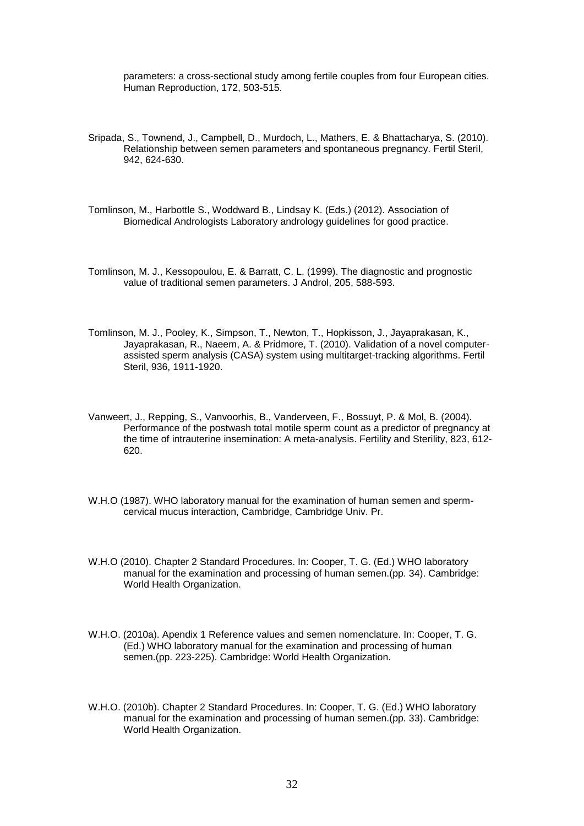parameters: a cross-sectional study among fertile couples from four European cities. Human Reproduction, 172, 503-515.

- <span id="page-31-0"></span>Sripada, S., Townend, J., Campbell, D., Murdoch, L., Mathers, E. & Bhattacharya, S. (2010). Relationship between semen parameters and spontaneous pregnancy. Fertil Steril, 942, 624-630.
- <span id="page-31-7"></span>Tomlinson, M., Harbottle S., Woddward B., Lindsay K. (Eds.) (2012). Association of Biomedical Andrologists Laboratory andrology guidelines for good practice.
- <span id="page-31-8"></span>Tomlinson, M. J., Kessopoulou, E. & Barratt, C. L. (1999). The diagnostic and prognostic value of traditional semen parameters. J Androl, 205, 588-593.
- <span id="page-31-6"></span>Tomlinson, M. J., Pooley, K., Simpson, T., Newton, T., Hopkisson, J., Jayaprakasan, K., Jayaprakasan, R., Naeem, A. & Pridmore, T. (2010). Validation of a novel computerassisted sperm analysis (CASA) system using multitarget-tracking algorithms. Fertil Steril, 936, 1911-1920.
- <span id="page-31-1"></span>Vanweert, J., Repping, S., Vanvoorhis, B., Vanderveen, F., Bossuyt, P. & Mol, B. (2004). Performance of the postwash total motile sperm count as a predictor of pregnancy at the time of intrauterine insemination: A meta-analysis. Fertility and Sterility, 823, 612- 620.
- <span id="page-31-2"></span>W.H.O (1987). WHO laboratory manual for the examination of human semen and spermcervical mucus interaction, Cambridge, Cambridge Univ. Pr.
- <span id="page-31-5"></span>W.H.O (2010). Chapter 2 Standard Procedures. In: Cooper, T. G. (Ed.) WHO laboratory manual for the examination and processing of human semen.(pp. 34). Cambridge: World Health Organization.
- <span id="page-31-3"></span>W.H.O. (2010a). Apendix 1 Reference values and semen nomenclature. In: Cooper, T. G. (Ed.) WHO laboratory manual for the examination and processing of human semen.(pp. 223-225). Cambridge: World Health Organization.
- <span id="page-31-4"></span>W.H.O. (2010b). Chapter 2 Standard Procedures. In: Cooper, T. G. (Ed.) WHO laboratory manual for the examination and processing of human semen.(pp. 33). Cambridge: World Health Organization.